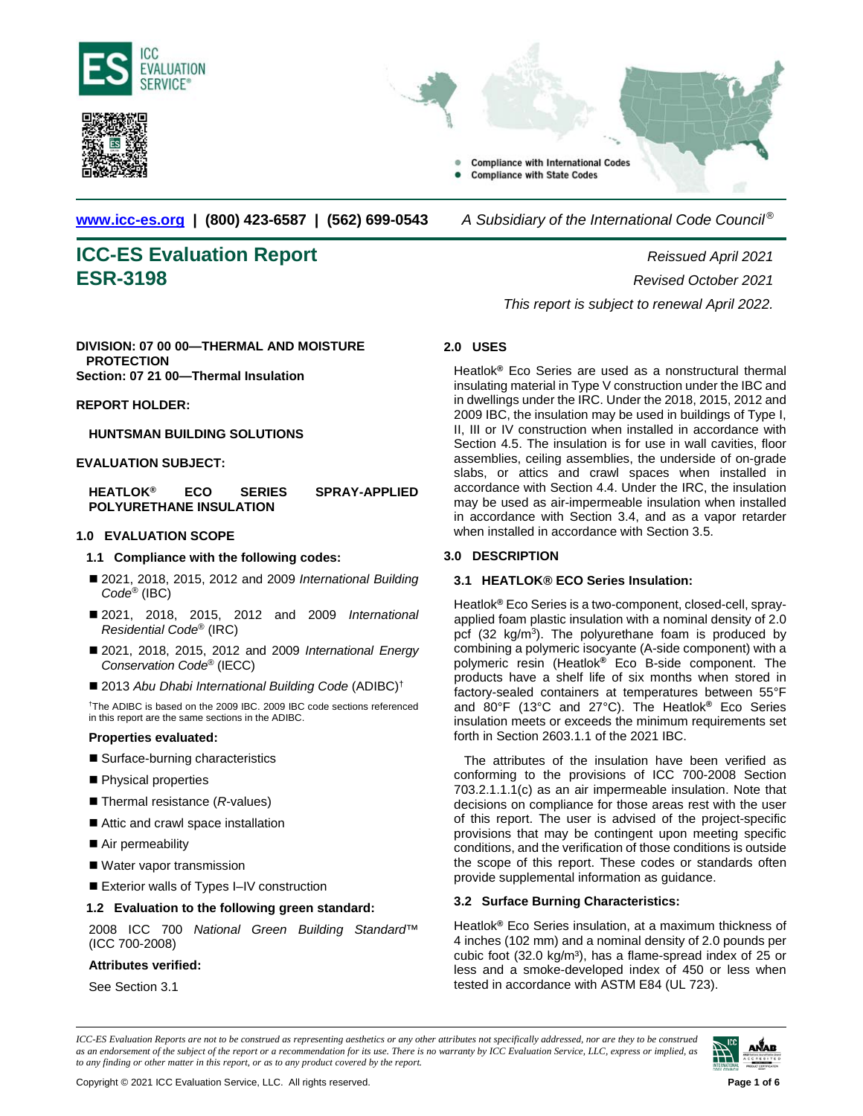





**[www.icc-es.org](http://www.icc-es.org/) | (800) 423-6587 | (562) 699-0543** *A Subsidiary of the International Code Council ®* 

# **ICC-ES Evaluation Report** *Reissued April 2021* **ESR-3198** *Revised October 2021*

# **DIVISION: 07 00 00—THERMAL AND MOISTURE PROTECTION**

**Section: 07 21 00—Thermal Insulation**

**REPORT HOLDER:**

# **HUNTSMAN BUILDING SOLUTIONS**

# **EVALUATION SUBJECT:**

**HEATLOK® ECO SERIES SPRAY-APPLIED POLYURETHANE INSULATION**

# **1.0 EVALUATION SCOPE**

#### **1.1 Compliance with the following codes:**

- 2021, 2018, 2015, 2012 and 2009 *International Building Code*® (IBC)
- 2021, 2018, 2015, 2012 and 2009 *International Residential Code*® (IRC)
- 2021, 2018, 2015, 2012 and 2009 *International Energy Conservation Code*® (IECC)
- 2013 Abu Dhabi International Building Code (ADIBC)<sup>†</sup>

† The ADIBC is based on the 2009 IBC. 2009 IBC code sections referenced in this report are the same sections in the ADIBC.

#### **Properties evaluated:**

- Surface-burning characteristics
- Physical properties
- Thermal resistance (*R*-values)
- Attic and crawl space installation
- Air permeability
- Water vapor transmission
- Exterior walls of Types I–IV construction

# **1.2 Evaluation to the following green standard:**

2008 ICC 700 *National Green Building Standard*™ (ICC 700-2008)

#### **Attributes verified:**

See Section 3.1

*This report is subject to renewal April 2022.*

# **2.0 USES**

Heatlok**®** Eco Series are used as a nonstructural thermal insulating material in Type V construction under the IBC and in dwellings under the IRC. Under the 2018, 2015, 2012 and 2009 IBC, the insulation may be used in buildings of Type I, II, III or IV construction when installed in accordance with Section 4.5. The insulation is for use in wall cavities, floor assemblies, ceiling assemblies, the underside of on-grade slabs, or attics and crawl spaces when installed in accordance with Section 4.4. Under the IRC, the insulation may be used as air-impermeable insulation when installed in accordance with Section 3.4, and as a vapor retarder when installed in accordance with Section 3.5.

# **3.0 DESCRIPTION**

# **3.1 HEATLOK® ECO Series Insulation:**

Heatlok**®** Eco Series is a two-component, closed-cell, sprayapplied foam plastic insulation with a nominal density of 2.0 pcf (32 kg/m<sup>3</sup>). The polyurethane foam is produced by combining a polymeric isocyante (A-side component) with a polymeric resin (Heatlok**®** Eco B-side component. The products have a shelf life of six months when stored in factory-sealed containers at temperatures between 55°F and 80°F (13°C and 27°C). The Heatlok**®** Eco Series insulation meets or exceeds the minimum requirements set forth in Section 2603.1.1 of the 2021 IBC.

The attributes of the insulation have been verified as conforming to the provisions of ICC 700-2008 Section 703.2.1.1.1(c) as an air impermeable insulation. Note that decisions on compliance for those areas rest with the user of this report. The user is advised of the project-specific provisions that may be contingent upon meeting specific conditions, and the verification of those conditions is outside the scope of this report. These codes or standards often provide supplemental information as guidance.

# **3.2 Surface Burning Characteristics:**

Heatlok**®** Eco Series insulation, at a maximum thickness of 4 inches (102 mm) and a nominal density of 2.0 pounds per cubic foot  $(32.0 \text{ kg/m}^3)$ , has a flame-spread index of 25 or less and a smoke-developed index of 450 or less when tested in accordance with ASTM E84 (UL 723).

*ICC-ES Evaluation Reports are not to be construed as representing aesthetics or any other attributes not specifically addressed, nor are they to be construed as an endorsement of the subject of the report or a recommendation for its use. There is no warranty by ICC Evaluation Service, LLC, express or implied, as to any finding or other matter in this report, or as to any product covered by the report.*

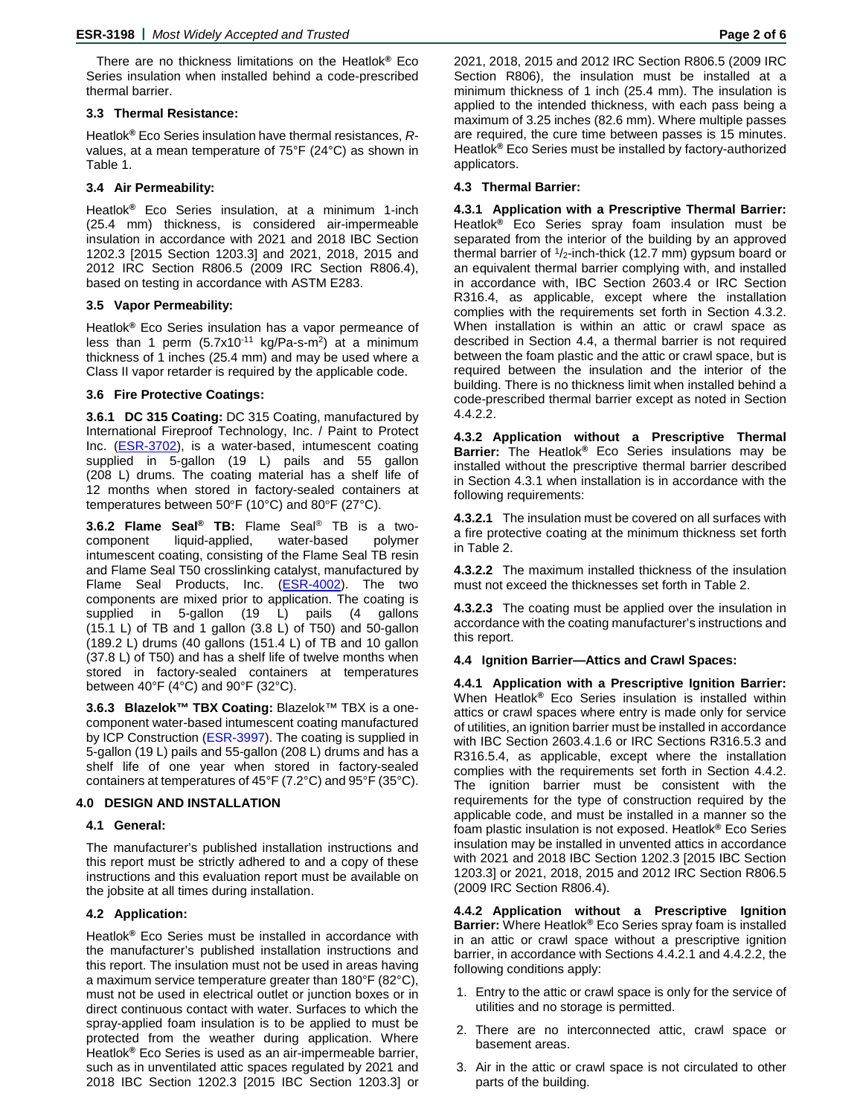There are no thickness limitations on the Heatlok**®** Eco Series insulation when installed behind a code-prescribed thermal barrier.

#### **3.3 Thermal Resistance:**

Heatlok**®** Eco Series insulation have thermal resistances, *R*values, at a mean temperature of 75°F (24°C) as shown in Table 1.

#### **3.4 Air Permeability:**

Heatlok**®** Eco Series insulation, at a minimum 1-inch (25.4 mm) thickness, is considered air-impermeable insulation in accordance with 2021 and 2018 IBC Section 1202.3 [2015 Section 1203.3] and 2021, 2018, 2015 and 2012 IRC Section R806.5 (2009 IRC Section R806.4), based on testing in accordance with ASTM E283.

#### **3.5 Vapor Permeability:**

Heatlok**®** Eco Series insulation has a vapor permeance of less than 1 perm  $(5.7x10^{-11}$  kg/Pa-s-m<sup>2</sup>) at a minimum thickness of 1 inches (25.4 mm) and may be used where a Class II vapor retarder is required by the applicable code.

### **3.6 Fire Protective Coatings:**

**3.6.1 DC 315 Coating:** DC 315 Coating, manufactured by International Fireproof Technology, Inc. / Paint to Protect Inc. (**ESR-3702**), is a water-based, intumescent coating supplied in 5-gallon (19 L) pails and 55 gallon (208 L) drums. The coating material has a shelf life of 12 months when stored in factory-sealed containers at temperatures between 50°F (10°C) and 80°F (27°C).

**3.6.2 Flame Seal® TB:** Flame Seal® TB is a twocomponent liquid-applied, water-based polymer intumescent coating, consisting of the Flame Seal TB resin and Flame Seal T50 crosslinking catalyst, manufactured by Flame Seal Products, Inc. [\(ESR-4002\)](http://www.icc-es.org/Reports/pdf_files/load_file.cfm?file_type=pdf&file_name=ESR-4002.pdf). The two components are mixed prior to application. The coating is supplied in 5-gallon (19 L) pails (4 gallons (15.1 L) of TB and 1 gallon (3.8 L) of T50) and 50-gallon (189.2 L) drums (40 gallons (151.4 L) of TB and 10 gallon (37.8 L) of T50) and has a shelf life of twelve months when stored in factory-sealed containers at temperatures between 40°F (4°C) and 90°F (32°C).

**3.6.3 Blazelok™ TBX Coating:** Blazelok™ TBX is a onecomponent water-based intumescent coating manufactured by ICP Construction [\(ESR-3997\)](http://www.icc-es.org/Reports/pdf_files/load_file.cfm?file_type=pdf&file_name=ESR-3997.pdf). The coating is supplied in 5-gallon (19 L) pails and 55-gallon (208 L) drums and has a shelf life of one year when stored in factory-sealed containers at temperatures of 45°F (7.2°C) and 95°F (35°C).

# **4.0 DESIGN AND INSTALLATION**

#### **4.1 General:**

The manufacturer's published installation instructions and this report must be strictly adhered to and a copy of these instructions and this evaluation report must be available on the jobsite at all times during installation.

#### **4.2 Application:**

Heatlok**®** Eco Series must be installed in accordance with the manufacturer's published installation instructions and this report. The insulation must not be used in areas having a maximum service temperature greater than 180°F (82°C), must not be used in electrical outlet or junction boxes or in direct continuous contact with water. Surfaces to which the spray-applied foam insulation is to be applied to must be protected from the weather during application. Where Heatlok**®** Eco Series is used as an air-impermeable barrier, such as in unventilated attic spaces regulated by 2021 and 2018 IBC Section 1202.3 [2015 IBC Section 1203.3] or

2021, 2018, 2015 and 2012 IRC Section R806.5 (2009 IRC Section R806), the insulation must be installed at a minimum thickness of 1 inch (25.4 mm). The insulation is applied to the intended thickness, with each pass being a maximum of 3.25 inches (82.6 mm). Where multiple passes are required, the cure time between passes is 15 minutes. Heatlok**®** Eco Series must be installed by factory-authorized applicators.

#### **4.3 Thermal Barrier:**

**4.3.1 Application with a Prescriptive Thermal Barrier:** Heatlok**®** Eco Series spray foam insulation must be separated from the interior of the building by an approved thermal barrier of  $1/2$ -inch-thick (12.7 mm) gypsum board or an equivalent thermal barrier complying with, and installed in accordance with, IBC Section 2603.4 or IRC Section R316.4, as applicable, except where the installation complies with the requirements set forth in Section 4.3.2. When installation is within an attic or crawl space as described in Section 4.4, a thermal barrier is not required between the foam plastic and the attic or crawl space, but is required between the insulation and the interior of the building. There is no thickness limit when installed behind a code-prescribed thermal barrier except as noted in Section 4.4.2.2.

**4.3.2 Application without a Prescriptive Thermal Barrier:** The Heatlok**®** Eco Series insulations may be installed without the prescriptive thermal barrier described in Section 4.3.1 when installation is in accordance with the following requirements:

**4.3.2.1** The insulation must be covered on all surfaces with a fire protective coating at the minimum thickness set forth in Table 2.

**4.3.2.2** The maximum installed thickness of the insulation must not exceed the thicknesses set forth in Table 2.

**4.3.2.3** The coating must be applied over the insulation in accordance with the coating manufacturer's instructions and this report.

#### **4.4 Ignition Barrier—Attics and Crawl Spaces:**

**4.4.1 Application with a Prescriptive Ignition Barrier:**  When Heatlok**®** Eco Series insulation is installed within attics or crawl spaces where entry is made only for service of utilities, an ignition barrier must be installed in accordance with IBC Section 2603.4.1.6 or IRC Sections R316.5.3 and R316.5.4, as applicable, except where the installation complies with the requirements set forth in Section 4.4.2. The ignition barrier must be consistent with the requirements for the type of construction required by the applicable code, and must be installed in a manner so the foam plastic insulation is not exposed. Heatlok**®** Eco Series insulation may be installed in unvented attics in accordance with 2021 and 2018 IBC Section 1202.3 [2015 IBC Section 1203.3] or 2021, 2018, 2015 and 2012 IRC Section R806.5 (2009 IRC Section R806.4).

**4.4.2 Application without a Prescriptive Ignition Barrier:** Where Heatlok**®** Eco Series spray foam is installed in an attic or crawl space without a prescriptive ignition barrier, in accordance with Sections 4.4.2.1 and 4.4.2.2, the following conditions apply:

- 1. Entry to the attic or crawl space is only for the service of utilities and no storage is permitted.
- 2. There are no interconnected attic, crawl space or basement areas.
- 3. Air in the attic or crawl space is not circulated to other parts of the building.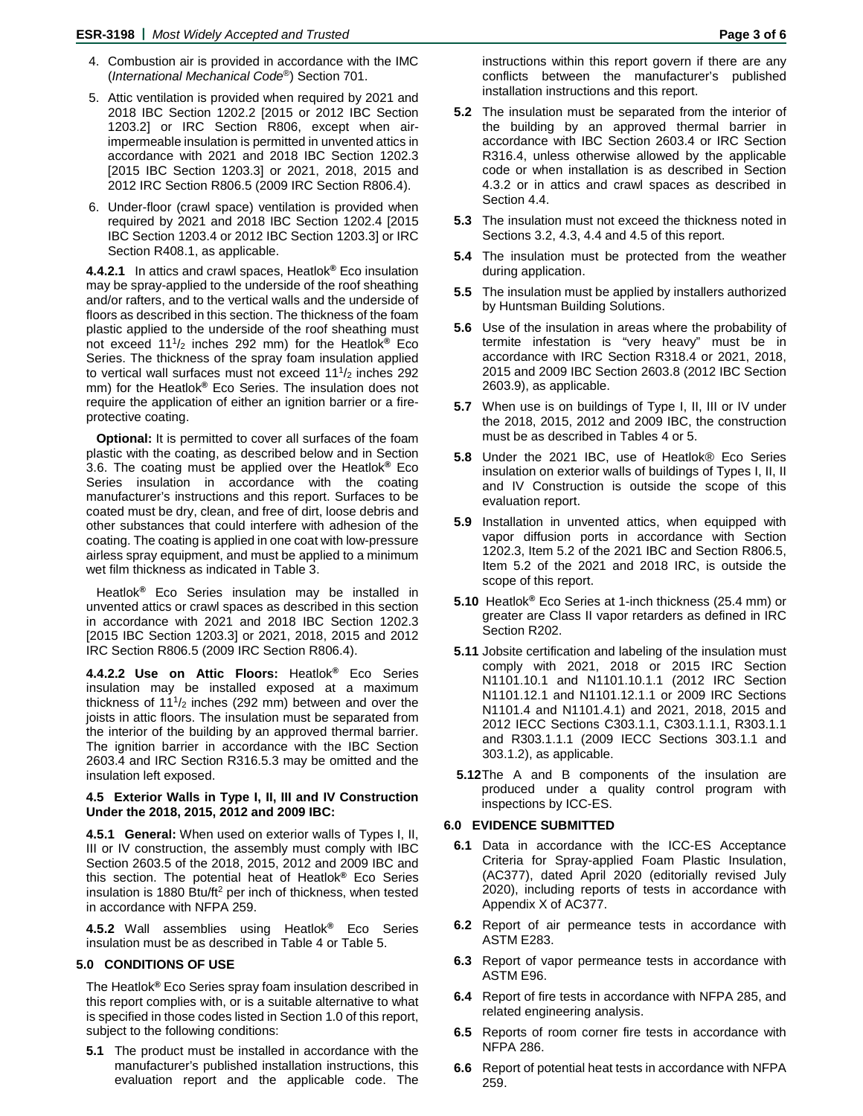- 4. Combustion air is provided in accordance with the IMC (*International Mechanical Code*®) Section 701.
- 5. Attic ventilation is provided when required by 2021 and 2018 IBC Section 1202.2 [2015 or 2012 IBC Section 1203.2] or IRC Section R806, except when airimpermeable insulation is permitted in unvented attics in accordance with 2021 and 2018 IBC Section 1202.3 [2015 IBC Section 1203.3] or 2021, 2018, 2015 and 2012 IRC Section R806.5 (2009 IRC Section R806.4).
- 6. Under-floor (crawl space) ventilation is provided when required by 2021 and 2018 IBC Section 1202.4 [2015 IBC Section 1203.4 or 2012 IBC Section 1203.3] or IRC Section R408.1, as applicable.

**4.4.2.1** In attics and crawl spaces, Heatlok**®** Eco insulation may be spray-applied to the underside of the roof sheathing and/or rafters, and to the vertical walls and the underside of floors as described in this section. The thickness of the foam plastic applied to the underside of the roof sheathing must not exceed 111/2 inches 292 mm) for the Heatlok**®** Eco Series. The thickness of the spray foam insulation applied to vertical wall surfaces must not exceed 11<sup>1</sup>/<sub>2</sub> inches 292 mm) for the Heatlok**®** Eco Series. The insulation does not require the application of either an ignition barrier or a fireprotective coating.

**Optional:** It is permitted to cover all surfaces of the foam plastic with the coating, as described below and in Section 3.6. The coating must be applied over the Heatlok**®** Eco Series insulation in accordance with the coating manufacturer's instructions and this report. Surfaces to be coated must be dry, clean, and free of dirt, loose debris and other substances that could interfere with adhesion of the coating. The coating is applied in one coat with low-pressure airless spray equipment, and must be applied to a minimum wet film thickness as indicated in Table 3.

Heatlok**®** Eco Series insulation may be installed in unvented attics or crawl spaces as described in this section in accordance with 2021 and 2018 IBC Section 1202.3 [2015 IBC Section 1203.3] or 2021, 2018, 2015 and 2012 IRC Section R806.5 (2009 IRC Section R806.4).

**4.4.2.2 Use on Attic Floors:** Heatlok**®** Eco Series insulation may be installed exposed at a maximum thickness of  $11<sup>1</sup>/2$  inches (292 mm) between and over the joists in attic floors. The insulation must be separated from the interior of the building by an approved thermal barrier. The ignition barrier in accordance with the IBC Section 2603.4 and IRC Section R316.5.3 may be omitted and the insulation left exposed.

#### **4.5 Exterior Walls in Type I, II, III and IV Construction Under the 2018, 2015, 2012 and 2009 IBC:**

**4.5.1 General:** When used on exterior walls of Types I, II, III or IV construction, the assembly must comply with IBC Section 2603.5 of the 2018, 2015, 2012 and 2009 IBC and this section. The potential heat of Heatlok**®** Eco Series insulation is 1880 Btu/ft<sup>2</sup> per inch of thickness, when tested in accordance with NFPA 259.

**4.5.2** Wall assemblies using Heatlok**®** Eco Series insulation must be as described in Table 4 or Table 5.

# **5.0 CONDITIONS OF USE**

The Heatlok**®** Eco Series spray foam insulation described in this report complies with, or is a suitable alternative to what is specified in those codes listed in Section 1.0 of this report, subject to the following conditions:

**5.1** The product must be installed in accordance with the manufacturer's published installation instructions, this evaluation report and the applicable code. The

instructions within this report govern if there are any conflicts between the manufacturer's published installation instructions and this report.

- **5.2** The insulation must be separated from the interior of the building by an approved thermal barrier in accordance with IBC Section 2603.4 or IRC Section R316.4, unless otherwise allowed by the applicable code or when installation is as described in Section 4.3.2 or in attics and crawl spaces as described in Section 4.4.
- **5.3** The insulation must not exceed the thickness noted in Sections 3.2, 4.3, 4.4 and 4.5 of this report.
- **5.4** The insulation must be protected from the weather during application.
- **5.5** The insulation must be applied by installers authorized by Huntsman Building Solutions.
- **5.6** Use of the insulation in areas where the probability of termite infestation is "very heavy" must be in accordance with IRC Section R318.4 or 2021, 2018, 2015 and 2009 IBC Section 2603.8 (2012 IBC Section 2603.9), as applicable.
- **5.7** When use is on buildings of Type I, II, III or IV under the 2018, 2015, 2012 and 2009 IBC, the construction must be as described in Tables 4 or 5.
- **5.8** Under the 2021 IBC, use of Heatlok® Eco Series insulation on exterior walls of buildings of Types I, II, II and IV Construction is outside the scope of this evaluation report.
- **5.9** Installation in unvented attics, when equipped with vapor diffusion ports in accordance with Section 1202.3, Item 5.2 of the 2021 IBC and Section R806.5, Item 5.2 of the 2021 and 2018 IRC, is outside the scope of this report.
- **5.10** Heatlok**®** Eco Series at 1-inch thickness (25.4 mm) or greater are Class II vapor retarders as defined in IRC Section R202.
- **5.11** Jobsite certification and labeling of the insulation must comply with 2021, 2018 or 2015 IRC Section N1101.10.1 and N1101.10.1.1 (2012 IRC Section N1101.12.1 and N1101.12.1.1 or 2009 IRC Sections N1101.4 and N1101.4.1) and 2021, 2018, 2015 and 2012 IECC Sections C303.1.1, C303.1.1.1, R303.1.1 and R303.1.1.1 (2009 IECC Sections 303.1.1 and 303.1.2), as applicable.
- **5.12**The A and B components of the insulation are produced under a quality control program with inspections by ICC-ES.

#### **6.0 EVIDENCE SUBMITTED**

- **6.1** Data in accordance with the ICC-ES Acceptance Criteria for Spray-applied Foam Plastic Insulation, (AC377), dated April 2020 (editorially revised July 2020), including reports of tests in accordance with Appendix X of AC377.
- **6.2** Report of air permeance tests in accordance with ASTM E283.
- **6.3** Report of vapor permeance tests in accordance with ASTM E96.
- **6.4** Report of fire tests in accordance with NFPA 285, and related engineering analysis.
- **6.5** Reports of room corner fire tests in accordance with NFPA 286.
- **6.6** Report of potential heat tests in accordance with NFPA 259.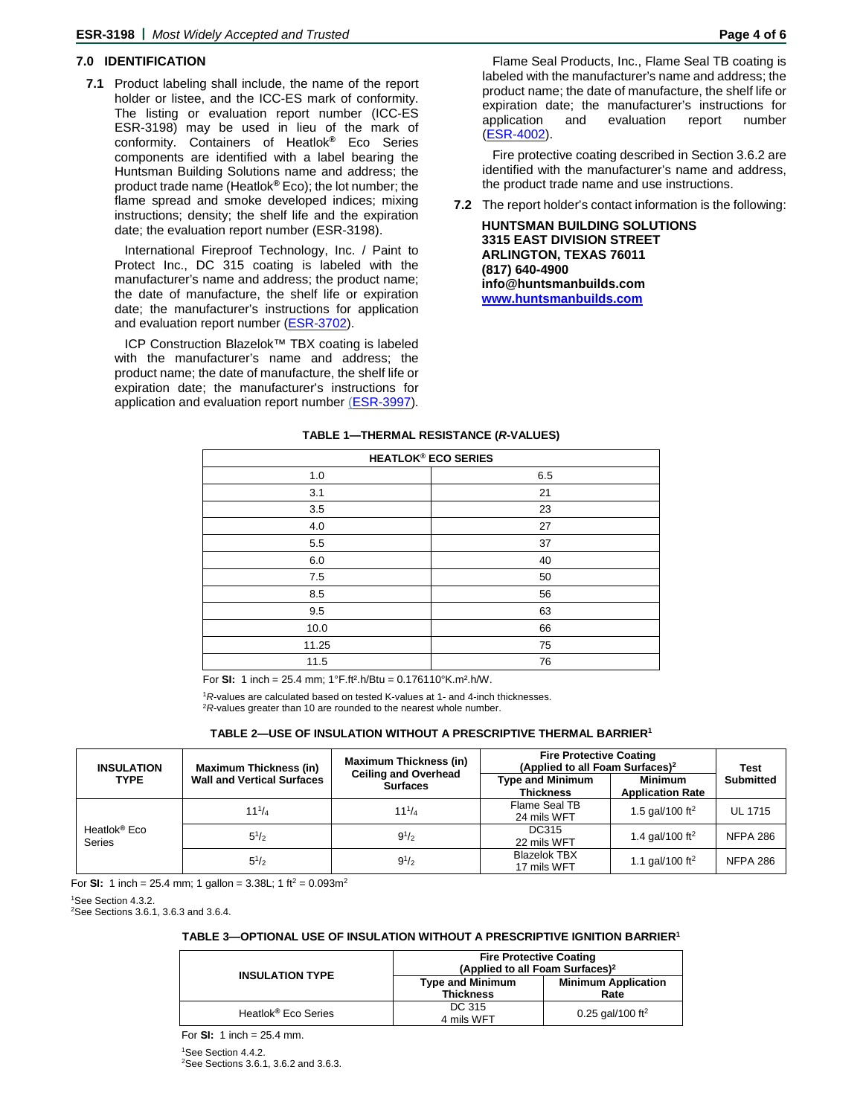# **7.0 IDENTIFICATION**

**7.1** Product labeling shall include, the name of the report holder or listee, and the ICC-ES mark of conformity. The listing or evaluation report number (ICC-ES ESR-3198) may be used in lieu of the mark of conformity. Containers of Heatlok**®** Eco Series components are identified with a label bearing the Huntsman Building Solutions name and address; the product trade name (Heatlok**®** Eco); the lot number; the flame spread and smoke developed indices; mixing instructions; density; the shelf life and the expiration date; the evaluation report number (ESR-3198).

International Fireproof Technology, Inc. / Paint to Protect Inc., DC 315 coating is labeled with the manufacturer's name and address; the product name; the date of manufacture, the shelf life or expiration date; the manufacturer's instructions for application and evaluation report number [\(ESR-3702\)](http://www.icc-es.org/Reports/pdf_files/load_file.cfm?file_type=pdf&file_name=ESR-3702.pdf).

ICP Construction Blazelok™ TBX coating is labeled with the manufacturer's name and address; the product name; the date of manufacture, the shelf life or expiration date; the manufacturer's instructions for application and evaluation report number [\(ESR-3997\)](http://www.icc-es.org/Reports/pdf_files/load_file.cfm?file_type=pdf&file_name=ESR-3997.pdf).

Flame Seal Products, Inc., Flame Seal TB coating is labeled with the manufacturer's name and address; the product name; the date of manufacture, the shelf life or expiration date; the manufacturer's instructions for application and evaluation report number [\(ESR-4002\)](http://www.icc-es.org/Reports/pdf_files/load_file.cfm?file_type=pdf&file_name=ESR-4002.pdf).

Fire protective coating described in Section 3.6.2 are identified with the manufacturer's name and address, the product trade name and use instructions.

**7.2** The report holder's contact information is the following:

**HUNTSMAN BUILDING SOLUTIONS 3315 EAST DIVISION STREET ARLINGTON, TEXAS 76011 (817) 640-4900 info@huntsmanbuilds.com [www.huntsmanbuilds.com](http://www.huntsmanbuilds.com/)**

| <b>HEATLOK® ECO SERIES</b> |     |  |
|----------------------------|-----|--|
| 1.0                        | 6.5 |  |
| 3.1                        | 21  |  |
| 3.5                        | 23  |  |
| 4.0                        | 27  |  |
| 5.5                        | 37  |  |
| 6.0                        | 40  |  |
| 7.5                        | 50  |  |
| 8.5                        | 56  |  |
| 9.5                        | 63  |  |
| 10.0                       | 66  |  |
| 11.25                      | 75  |  |
| 11.5                       | 76  |  |
|                            |     |  |

#### **TABLE 1—THERMAL RESISTANCE (***R***-VALUES)**

For **SI:** 1 inch = 25.4 mm; 1°F.ft².h/Btu = 0.176110°K.m².h/W.

<sup>1</sup>R-values are calculated based on tested K-values at 1- and 4-inch thicknesses. <sup>2</sup>*R*-values greater than 10 are rounded to the nearest whole number.

#### **TABLE 2—USE OF INSULATION WITHOUT A PRESCRIPTIVE THERMAL BARRIER1**

| <b>INSULATION</b><br><b>TYPE</b>          | <b>Maximum Thickness (in)</b><br><b>Wall and Vertical Surfaces</b> | <b>Maximum Thickness (in)</b><br><b>Ceiling and Overhead</b><br><b>Surfaces</b> | <b>Fire Protective Coating</b><br>(Applied to all Foam Surfaces) <sup>2</sup> |                                           | <b>Test</b>      |
|-------------------------------------------|--------------------------------------------------------------------|---------------------------------------------------------------------------------|-------------------------------------------------------------------------------|-------------------------------------------|------------------|
|                                           |                                                                    |                                                                                 | <b>Type and Minimum</b><br><b>Thickness</b>                                   | <b>Minimum</b><br><b>Application Rate</b> | <b>Submitted</b> |
|                                           | $11^{1}/_4$                                                        | $11^{1}/4$                                                                      | Flame Seal TB<br>24 mils WFT                                                  | 1.5 gal/100 ft <sup>2</sup>               | <b>UL 1715</b>   |
| Heatlok <sup>®</sup> Eco<br><b>Series</b> | $5^{1/2}$                                                          | $9^{1/2}$                                                                       | DC315<br>22 mils WFT                                                          | 1.4 gal/100 ft <sup>2</sup>               | <b>NFPA 286</b>  |
|                                           | $5^{1/2}$                                                          | $9^{1/2}$                                                                       | <b>Blazelok TBX</b><br>17 mils WFT                                            | 1.1 gal/100 ft <sup>2</sup>               | <b>NFPA 286</b>  |

For **SI:** 1 inch = 25.4 mm; 1 gallon = 3.38L; 1 ft<sup>2</sup> =  $0.093m^2$ 

<sup>1</sup>See Section 4.3.2.

2 See Sections 3.6.1, 3.6.3 and 3.6.4.

#### **TABLE 3—OPTIONAL USE OF INSULATION WITHOUT A PRESCRIPTIVE IGNITION BARRIER1**

|                                 | <b>Fire Protective Coating</b><br>(Applied to all Foam Surfaces) <sup>2</sup> |                                    |  |
|---------------------------------|-------------------------------------------------------------------------------|------------------------------------|--|
| <b>INSULATION TYPE</b>          | <b>Type and Minimum</b><br><b>Thickness</b>                                   | <b>Minimum Application</b><br>Rate |  |
| Heatlok <sup>®</sup> Eco Series | DC 315<br>4 mils WFT                                                          | 0.25 gal/100 ft <sup>2</sup>       |  |

For **SI:** 1 inch = 25.4 mm. 1 See Section 4.4.2. 2 See Sections 3.6.1, 3.6.2 and 3.6.3.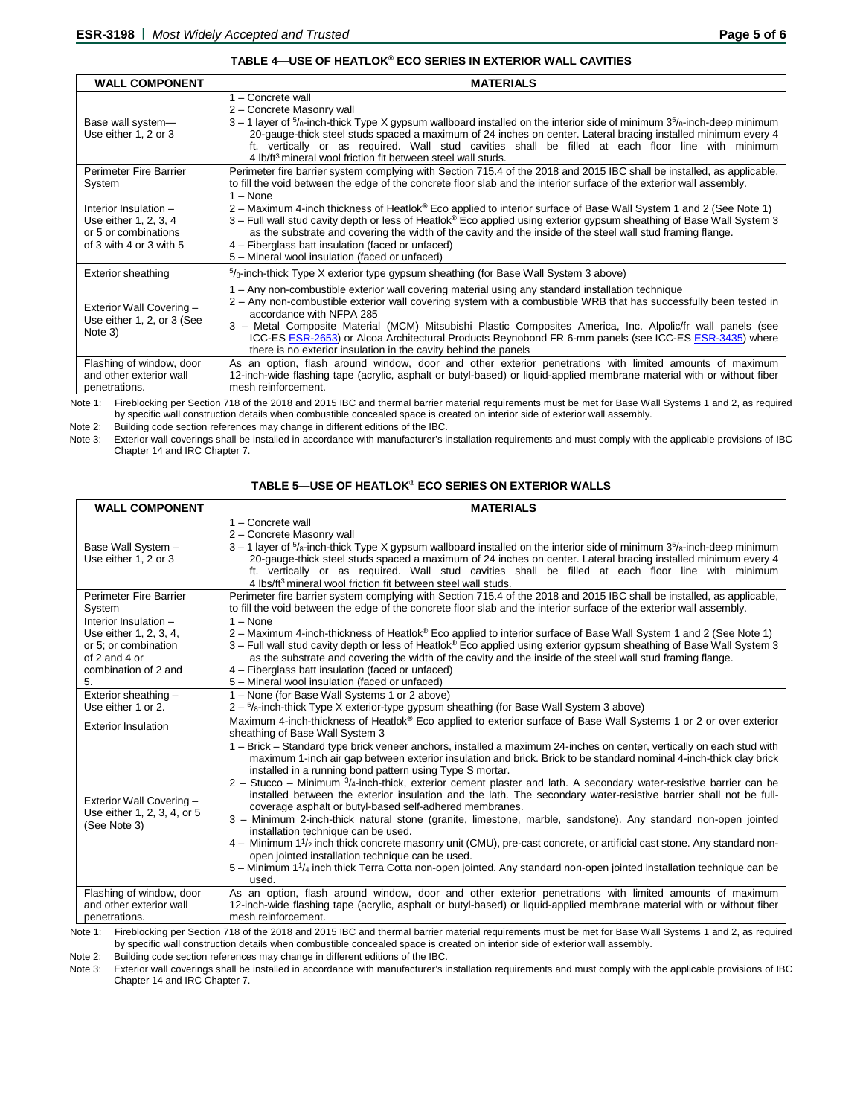#### **TABLE 4—USE OF HEATLOK® ECO SERIES IN EXTERIOR WALL CAVITIES**

| <b>WALL COMPONENT</b>                                                                             | <b>MATERIALS</b>                                                                                                                                                                                                                                                                                                                                                                                                                                                                                                                             |
|---------------------------------------------------------------------------------------------------|----------------------------------------------------------------------------------------------------------------------------------------------------------------------------------------------------------------------------------------------------------------------------------------------------------------------------------------------------------------------------------------------------------------------------------------------------------------------------------------------------------------------------------------------|
| Base wall system-<br>Use either 1, 2 or 3                                                         | 1 - Concrete wall<br>2 - Concrete Masonry wall<br>$3-1$ layer of $5/6$ -inch-thick Type X gypsum wallboard installed on the interior side of minimum $35/6$ -inch-deep minimum<br>20-gauge-thick steel studs spaced a maximum of 24 inches on center. Lateral bracing installed minimum every 4<br>ft. vertically or as required. Wall stud cavities shall be filled at each floor line with minimum<br>4 lb/ft <sup>3</sup> mineral wool friction fit between steel wall studs.                                                             |
| Perimeter Fire Barrier<br>System                                                                  | Perimeter fire barrier system complying with Section 715.4 of the 2018 and 2015 IBC shall be installed, as applicable,<br>to fill the void between the edge of the concrete floor slab and the interior surface of the exterior wall assembly.                                                                                                                                                                                                                                                                                               |
| Interior Insulation -<br>Use either 1, 2, 3, 4<br>or 5 or combinations<br>of 3 with 4 or 3 with 5 | $1 - None$<br>2 – Maximum 4-inch thickness of Heatlok® Eco applied to interior surface of Base Wall System 1 and 2 (See Note 1)<br>3 – Full wall stud cavity depth or less of Heatlok® Eco applied using exterior gypsum sheathing of Base Wall System 3<br>as the substrate and covering the width of the cavity and the inside of the steel wall stud framing flange.<br>4 – Fiberglass batt insulation (faced or unfaced)<br>5 - Mineral wool insulation (faced or unfaced)                                                               |
| <b>Exterior sheathing</b>                                                                         | $5/6$ -inch-thick Type X exterior type gypsum sheathing (for Base Wall System 3 above)                                                                                                                                                                                                                                                                                                                                                                                                                                                       |
| Exterior Wall Covering -<br>Use either 1, 2, or 3 (See<br>Note 3)                                 | 1 – Any non-combustible exterior wall covering material using any standard installation technique<br>2 – Any non-combustible exterior wall covering system with a combustible WRB that has successfully been tested in<br>accordance with NFPA 285<br>3 - Metal Composite Material (MCM) Mitsubishi Plastic Composites America, Inc. Alpolic/fr wall panels (see<br>ICC-ES ESR-2653) or Alcoa Architectural Products Reynobond FR 6-mm panels (see ICC-ES ESR-3435) where<br>there is no exterior insulation in the cavity behind the panels |
| Flashing of window, door<br>and other exterior wall<br>penetrations.                              | As an option, flash around window, door and other exterior penetrations with limited amounts of maximum<br>12-inch-wide flashing tape (acrylic, asphalt or butyl-based) or liquid-applied membrane material with or without fiber<br>mesh reinforcement.                                                                                                                                                                                                                                                                                     |

Note 1: Fireblocking per Section 718 of the 2018 and 2015 IBC and thermal barrier material requirements must be met for Base Wall Systems 1 and 2, as required by specific wall construction details when combustible concealed space is created on interior side of exterior wall assembly.

Note 2: Building code section references may change in different editions of the IBC.<br>Note 3: Exterior wall coverings shall be installed in accordance with manufacturer's in

Exterior wall coverings shall be installed in accordance with manufacturer's installation requirements and must comply with the applicable provisions of IBC Chapter 14 and IRC Chapter 7.

| TABLE 5—USE OF HEATLOK® ECO SERIES ON EXTERIOR WALLS |  |
|------------------------------------------------------|--|
|------------------------------------------------------|--|

| <b>WALL COMPONENT</b>                                                                                                  | <b>MATERIALS</b>                                                                                                                                                                                                                                                                                                                                                                                                                                                                                                                                                                                                                                                                                                                                                                                                                                                                                                                                                                                                                                                                                                                                    |
|------------------------------------------------------------------------------------------------------------------------|-----------------------------------------------------------------------------------------------------------------------------------------------------------------------------------------------------------------------------------------------------------------------------------------------------------------------------------------------------------------------------------------------------------------------------------------------------------------------------------------------------------------------------------------------------------------------------------------------------------------------------------------------------------------------------------------------------------------------------------------------------------------------------------------------------------------------------------------------------------------------------------------------------------------------------------------------------------------------------------------------------------------------------------------------------------------------------------------------------------------------------------------------------|
| Base Wall System -<br>Use either 1, 2 or 3                                                                             | 1 - Concrete wall<br>2 - Concrete Masonry wall<br>$3-1$ layer of $5/8$ -inch-thick Type X gypsum wallboard installed on the interior side of minimum $35/8$ -inch-deep minimum<br>20-gauge-thick steel studs spaced a maximum of 24 inches on center. Lateral bracing installed minimum every 4<br>ft. vertically or as required. Wall stud cavities shall be filled at each floor line with minimum<br>4 lbs/ft <sup>3</sup> mineral wool friction fit between steel wall studs.                                                                                                                                                                                                                                                                                                                                                                                                                                                                                                                                                                                                                                                                   |
| <b>Perimeter Fire Barrier</b><br>System                                                                                | Perimeter fire barrier system complying with Section 715.4 of the 2018 and 2015 IBC shall be installed, as applicable,<br>to fill the void between the edge of the concrete floor slab and the interior surface of the exterior wall assembly.                                                                                                                                                                                                                                                                                                                                                                                                                                                                                                                                                                                                                                                                                                                                                                                                                                                                                                      |
| Interior Insulation -<br>Use either 1, 2, 3, 4,<br>or 5; or combination<br>of 2 and 4 or<br>combination of 2 and<br>5. | $1 - \text{None}$<br>2 – Maximum 4-inch-thickness of Heatlok® Eco applied to interior surface of Base Wall System 1 and 2 (See Note 1)<br>3 – Full wall stud cavity depth or less of Heatlok® Eco applied using exterior gypsum sheathing of Base Wall System 3<br>as the substrate and covering the width of the cavity and the inside of the steel wall stud framing flange.<br>4 – Fiberglass batt insulation (faced or unfaced)<br>5 - Mineral wool insulation (faced or unfaced)                                                                                                                                                                                                                                                                                                                                                                                                                                                                                                                                                                                                                                                               |
| Exterior sheathing -<br>Use either 1 or 2.                                                                             | 1 – None (for Base Wall Systems 1 or 2 above)                                                                                                                                                                                                                                                                                                                                                                                                                                                                                                                                                                                                                                                                                                                                                                                                                                                                                                                                                                                                                                                                                                       |
| <b>Exterior Insulation</b>                                                                                             | 2 - <sup>5</sup> / <sub>8</sub> -inch-thick Type X exterior-type gypsum sheathing (for Base Wall System 3 above)<br>Maximum 4-inch-thickness of Heatlok® Eco applied to exterior surface of Base Wall Systems 1 or 2 or over exterior<br>sheathing of Base Wall System 3                                                                                                                                                                                                                                                                                                                                                                                                                                                                                                                                                                                                                                                                                                                                                                                                                                                                            |
| Exterior Wall Covering -<br>Use either 1, 2, 3, 4, or 5<br>(See Note 3)                                                | 1 - Brick - Standard type brick veneer anchors, installed a maximum 24-inches on center, vertically on each stud with<br>maximum 1-inch air gap between exterior insulation and brick. Brick to be standard nominal 4-inch-thick clay brick<br>installed in a running bond pattern using Type S mortar.<br>$2 -$ Stucco – Minimum $\frac{3}{4}$ -inch-thick, exterior cement plaster and lath. A secondary water-resistive barrier can be<br>installed between the exterior insulation and the lath. The secondary water-resistive barrier shall not be full-<br>coverage asphalt or butyl-based self-adhered membranes.<br>3 - Minimum 2-inch-thick natural stone (granite, limestone, marble, sandstone). Any standard non-open jointed<br>installation technique can be used.<br>4 - Minimum 1 <sup>1</sup> / <sub>2</sub> inch thick concrete masonry unit (CMU), pre-cast concrete, or artificial cast stone. Any standard non-<br>open jointed installation technique can be used.<br>5 – Minimum 1 <sup>1</sup> / <sub>4</sub> inch thick Terra Cotta non-open jointed. Any standard non-open jointed installation technique can be<br>used. |
| Flashing of window, door<br>and other exterior wall<br>penetrations.                                                   | As an option, flash around window, door and other exterior penetrations with limited amounts of maximum<br>12-inch-wide flashing tape (acrylic, asphalt or butyl-based) or liquid-applied membrane material with or without fiber<br>mesh reinforcement.                                                                                                                                                                                                                                                                                                                                                                                                                                                                                                                                                                                                                                                                                                                                                                                                                                                                                            |

Note 1: Fireblocking per Section 718 of the 2018 and 2015 IBC and thermal barrier material requirements must be met for Base Wall Systems 1 and 2, as required by specific wall construction details when combustible concealed space is created on interior side of exterior wall assembly.

Note 2: Building code section references may change in different editions of the IBC.

Note 3: Exterior wall coverings shall be installed in accordance with manufacturer's installation requirements and must comply with the applicable provisions of IBC Chapter 14 and IRC Chapter 7.